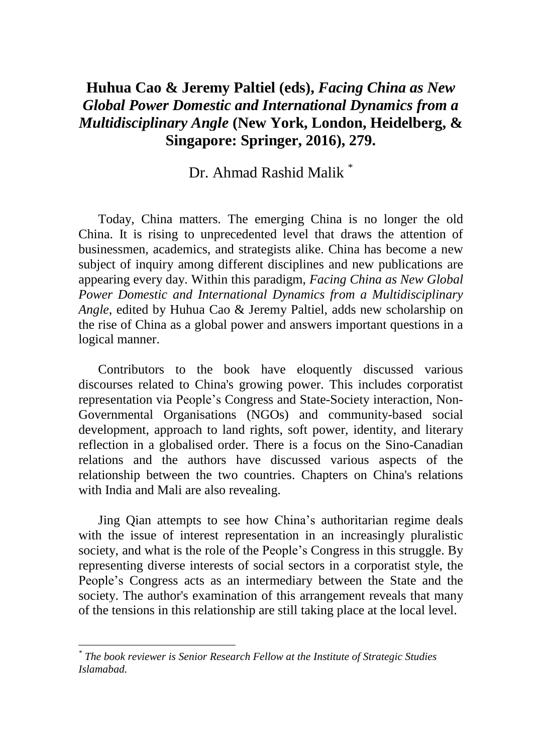## **Huhua Cao & Jeremy Paltiel (eds),** *Facing China as New Global Power Domestic and International Dynamics from a Multidisciplinary Angle* **(New York, London, Heidelberg, & Singapore: Springer, 2016), 279.**

Dr. Ahmad Rashid Malik \*

Today, China matters. The emerging China is no longer the old China. It is rising to unprecedented level that draws the attention of businessmen, academics, and strategists alike. China has become a new subject of inquiry among different disciplines and new publications are appearing every day. Within this paradigm, *Facing China as New Global Power Domestic and International Dynamics from a Multidisciplinary Angle*, edited by Huhua Cao & Jeremy Paltiel, adds new scholarship on the rise of China as a global power and answers important questions in a logical manner.

Contributors to the book have eloquently discussed various discourses related to China's growing power. This includes corporatist representation via People's Congress and State-Society interaction, Non-Governmental Organisations (NGOs) and community-based social development, approach to land rights, soft power, identity, and literary reflection in a globalised order. There is a focus on the Sino-Canadian relations and the authors have discussed various aspects of the relationship between the two countries. Chapters on China's relations with India and Mali are also revealing.

Jing Qian attempts to see how China's authoritarian regime deals with the issue of interest representation in an increasingly pluralistic society, and what is the role of the People's Congress in this struggle. By representing diverse interests of social sectors in a corporatist style, the People's Congress acts as an intermediary between the State and the society. The author's examination of this arrangement reveals that many of the tensions in this relationship are still taking place at the local level.

 $\overline{a}$ 

*<sup>\*</sup> The book reviewer is Senior Research Fellow at the Institute of Strategic Studies Islamabad.*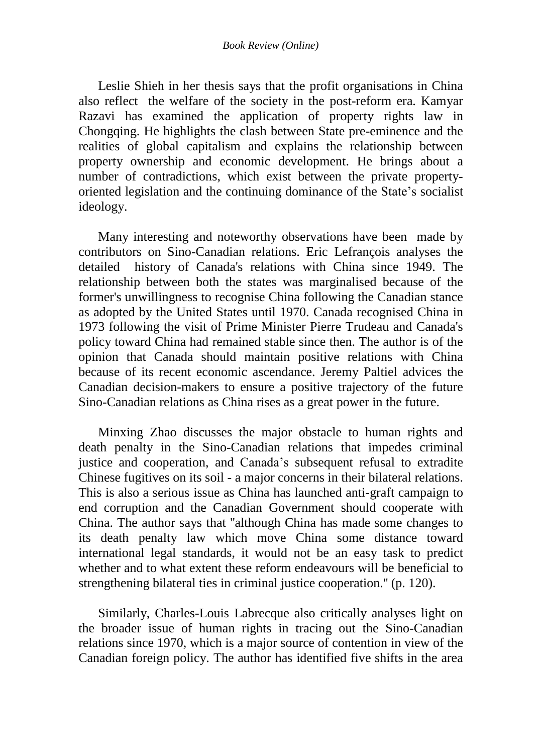Leslie Shieh in her thesis says that the profit organisations in China also reflect the welfare of the society in the post-reform era. Kamyar Razavi has examined the application of property rights law in Chongqing. He highlights the clash between State pre-eminence and the realities of global capitalism and explains the relationship between property ownership and economic development. He brings about a number of contradictions, which exist between the private propertyoriented legislation and the continuing dominance of the State's socialist ideology.

Many interesting and noteworthy observations have been made by contributors on Sino-Canadian relations. Eric Lefrançois analyses the detailed history of Canada's relations with China since 1949. The relationship between both the states was marginalised because of the former's unwillingness to recognise China following the Canadian stance as adopted by the United States until 1970. Canada recognised China in 1973 following the visit of Prime Minister Pierre Trudeau and Canada's policy toward China had remained stable since then. The author is of the opinion that Canada should maintain positive relations with China because of its recent economic ascendance. Jeremy Paltiel advices the Canadian decision-makers to ensure a positive trajectory of the future Sino-Canadian relations as China rises as a great power in the future.

Minxing Zhao discusses the major obstacle to human rights and death penalty in the Sino-Canadian relations that impedes criminal justice and cooperation, and Canada's subsequent refusal to extradite Chinese fugitives on its soil - a major concerns in their bilateral relations. This is also a serious issue as China has launched anti-graft campaign to end corruption and the Canadian Government should cooperate with China. The author says that ''although China has made some changes to its death penalty law which move China some distance toward international legal standards, it would not be an easy task to predict whether and to what extent these reform endeavours will be beneficial to strengthening bilateral ties in criminal justice cooperation.'' (p. 120).

Similarly, Charles-Louis Labrecque also critically analyses light on the broader issue of human rights in tracing out the Sino-Canadian relations since 1970, which is a major source of contention in view of the Canadian foreign policy. The author has identified five shifts in the area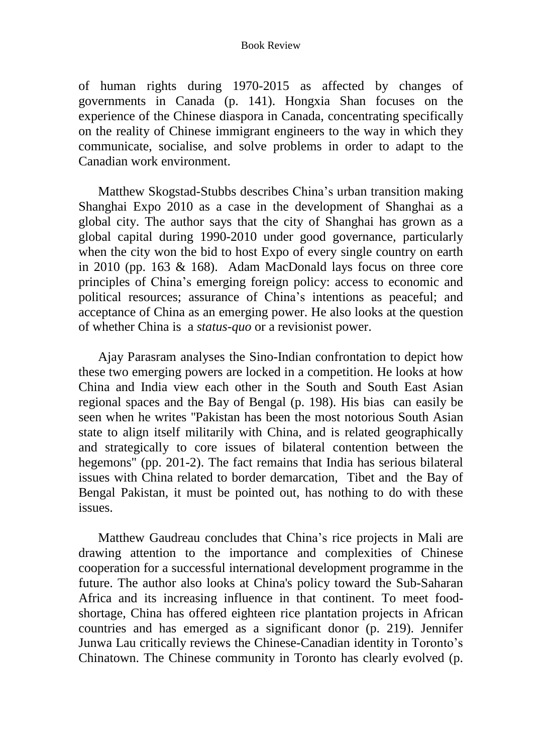## Book Review

of human rights during 1970-2015 as affected by changes of governments in Canada (p. 141). Hongxia Shan focuses on the experience of the Chinese diaspora in Canada, concentrating specifically on the reality of Chinese immigrant engineers to the way in which they communicate, socialise, and solve problems in order to adapt to the Canadian work environment.

Matthew Skogstad-Stubbs describes China's urban transition making Shanghai Expo 2010 as a case in the development of Shanghai as a global city. The author says that the city of Shanghai has grown as a global capital during 1990-2010 under good governance, particularly when the city won the bid to host Expo of every single country on earth in 2010 (pp. 163 & 168). Adam MacDonald lays focus on three core principles of China's emerging foreign policy: access to economic and political resources; assurance of China's intentions as peaceful; and acceptance of China as an emerging power. He also looks at the question of whether China is a *status-quo* or a revisionist power.

Ajay Parasram analyses the Sino-Indian confrontation to depict how these two emerging powers are locked in a competition. He looks at how China and India view each other in the South and South East Asian regional spaces and the Bay of Bengal (p. 198). His bias can easily be seen when he writes ''Pakistan has been the most notorious South Asian state to align itself militarily with China, and is related geographically and strategically to core issues of bilateral contention between the hegemons" (pp. 201-2). The fact remains that India has serious bilateral issues with China related to border demarcation, Tibet and the Bay of Bengal Pakistan, it must be pointed out, has nothing to do with these issues.

Matthew Gaudreau concludes that China's rice projects in Mali are drawing attention to the importance and complexities of Chinese cooperation for a successful international development programme in the future. The author also looks at China's policy toward the Sub-Saharan Africa and its increasing influence in that continent. To meet foodshortage, China has offered eighteen rice plantation projects in African countries and has emerged as a significant donor (p. 219). Jennifer Junwa Lau critically reviews the Chinese-Canadian identity in Toronto's Chinatown. The Chinese community in Toronto has clearly evolved (p.